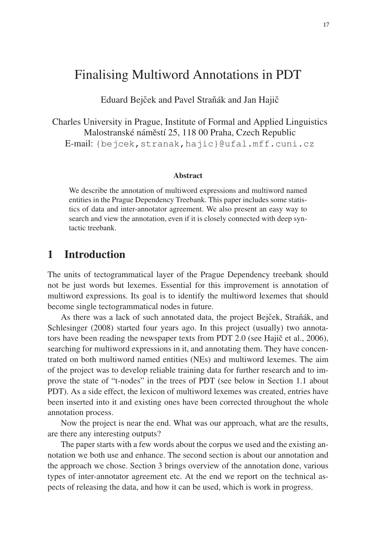# Finalising Multiword Annotations in PDT

Eduard Bejček and Pavel Straňák and Jan Hajič

Charles University in Prague, Institute of Formal and Applied Linguistics Malostranské náměstí 25, 118 00 Praha, Czech Republic E-mail: {bejcek,stranak,hajic}@ufal.mff.cuni.cz

#### Abstract

We describe the annotation of multiword expressions and multiword named entities in the Prague Dependency Treebank. This paper includes some statistics of data and inter-annotator agreement. We also present an easy way to search and view the annotation, even if it is closely connected with deep syntactic treebank.

### 1 Introduction

The units of tectogrammatical layer of the Prague Dependency treebank should not be just words but lexemes. Essential for this improvement is annotation of multiword expressions. Its goal is to identify the multiword lexemes that should become single tectogrammatical nodes in future.

As there was a lack of such annotated data, the project Bejček, Straňák, and Schlesinger (2008) started four years ago. In this project (usually) two annotators have been reading the newspaper texts from PDT 2.0 (see Hajič et al., 2006), searching for multiword expressions in it, and annotating them. They have concentrated on both multiword named entities (NEs) and multiword lexemes. The aim of the project was to develop reliable training data for further research and to improve the state of "t-nodes" in the trees of PDT (see below in Section 1.1 about PDT). As a side effect, the lexicon of multiword lexemes was created, entries have been inserted into it and existing ones have been corrected throughout the whole annotation process.

Now the project is near the end. What was our approach, what are the results, are there any interesting outputs?

The paper starts with a few words about the corpus we used and the existing annotation we both use and enhance. The second section is about our annotation and the approach we chose. Section 3 brings overview of the annotation done, various types of inter-annotator agreement etc. At the end we report on the technical aspects of releasing the data, and how it can be used, which is work in progress.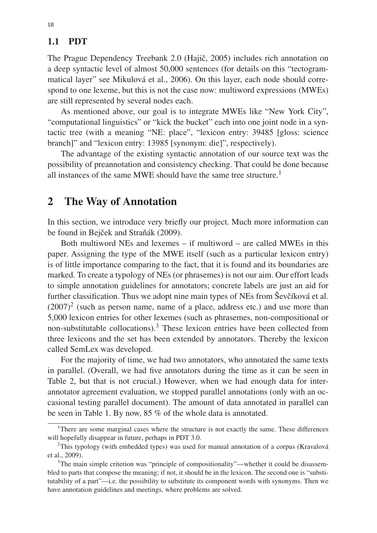#### 1.1 PDT

The Prague Dependency Treebank 2.0 (Hajič, 2005) includes rich annotation on a deep syntactic level of almost 50,000 sentences (for details on this "tectogrammatical layer" see Mikulová et al., 2006). On this layer, each node should correspond to one lexeme, but this is not the case now: multiword expressions (MWEs) are still represented by several nodes each.

As mentioned above, our goal is to integrate MWEs like "New York City", "computational linguistics" or "kick the bucket" each into one joint node in a syntactic tree (with a meaning "NE: place", "lexicon entry: 39485 [gloss: science branch]" and "lexicon entry: 13985 [synonym: die]", respectively).

The advantage of the existing syntactic annotation of our source text was the possibility of preannotation and consistency checking. That could be done because all instances of the same MWE should have the same tree structure.<sup>1</sup>

### 2 The Way of Annotation

In this section, we introduce very briefly our project. Much more information can be found in Bejček and Straňák (2009).

Both multiword NEs and lexemes – if multiword – are called MWEs in this paper. Assigning the type of the MWE itself (such as a particular lexicon entry) is of little importance comparing to the fact, that it is found and its boundaries are marked. To create a typology of NEs (or phrasemes) is not our aim. Our effort leads to simple annotation guidelines for annotators; concrete labels are just an aid for further classification. Thus we adopt nine main types of NEs from Ševčíková et al.  $(2007)^2$  (such as person name, name of a place, address etc.) and use more than 5,000 lexicon entries for other lexemes (such as phrasemes, non-compositional or non-substitutable collocations).<sup>3</sup> These lexicon entries have been collected from three lexicons and the set has been extended by annotators. Thereby the lexicon called SemLex was developed.

For the majority of time, we had two annotators, who annotated the same texts in parallel. (Overall, we had five annotators during the time as it can be seen in Table 2, but that is not crucial.) However, when we had enough data for interannotator agreement evaluation, we stopped parallel annotations (only with an occasional testing parallel document). The amount of data annotated in parallel can be seen in Table 1. By now, 85 % of the whole data is annotated.

<sup>&</sup>lt;sup>1</sup>There are some marginal cases where the structure is not exactly the same. These differences will hopefully disappear in future, perhaps in PDT 3.0.

<sup>&</sup>lt;sup>2</sup>This typology (with embedded types) was used for manual annotation of a corpus (Kravalová et al., 2009).

<sup>&</sup>lt;sup>3</sup>The main simple criterion was "principle of compositionality"—whether it could be disassembled to parts that compose the meaning; if not, it should be in the lexicon. The second one is "substitutability of a part"—i.e. the possibility to substitute its component words with synonyms. Then we have annotation guidelines and meetings, where problems are solved.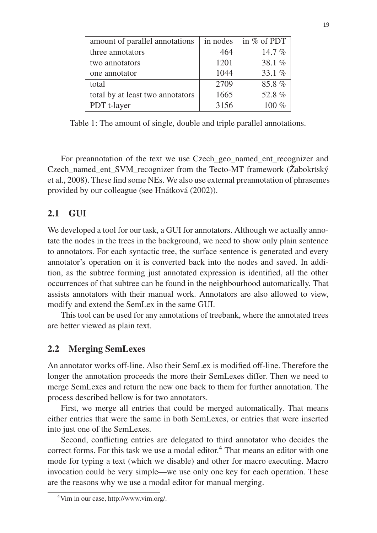| amount of parallel annotations   | in nodes | in % of PDT |
|----------------------------------|----------|-------------|
| three annotators                 | 464      | 14.7 $%$    |
| two annotators                   | 1201     | 38.1 $%$    |
| one annotator                    | 1044     | 33.1%       |
| total                            | 2709     | 85.8%       |
| total by at least two annotators | 1665     | 52.8%       |
| PDT t-layer                      | 3156     | $100\%$     |

Table 1: The amount of single, double and triple parallel annotations.

For preannotation of the text we use Czech\_geo\_named\_ent\_recognizer and Czech named ent SVM recognizer from the Tecto-MT framework (Žabokrtský et al., 2008). These find some NEs. We also use external preannotation of phrasemes provided by our colleague (see Hnátková (2002)).

### 2.1 GUI

We developed a tool for our task, a GUI for annotators. Although we actually annotate the nodes in the trees in the background, we need to show only plain sentence to annotators. For each syntactic tree, the surface sentence is generated and every annotator's operation on it is converted back into the nodes and saved. In addition, as the subtree forming just annotated expression is identified, all the other occurrences of that subtree can be found in the neighbourhood automatically. That assists annotators with their manual work. Annotators are also allowed to view, modify and extend the SemLex in the same GUI.

This tool can be used for any annotations of treebank, where the annotated trees are better viewed as plain text.

#### 2.2 Merging SemLexes

An annotator works off-line. Also their SemLex is modified off-line. Therefore the longer the annotation proceeds the more their SemLexes differ. Then we need to merge SemLexes and return the new one back to them for further annotation. The process described bellow is for two annotators.

First, we merge all entries that could be merged automatically. That means either entries that were the same in both SemLexes, or entries that were inserted into just one of the SemLexes.

Second, conflicting entries are delegated to third annotator who decides the correct forms. For this task we use a modal editor.<sup>4</sup> That means an editor with one mode for typing a text (which we disable) and other for macro executing. Macro invocation could be very simple—we use only one key for each operation. These are the reasons why we use a modal editor for manual merging.

<sup>4</sup> Vim in our case, http://www.vim.org/.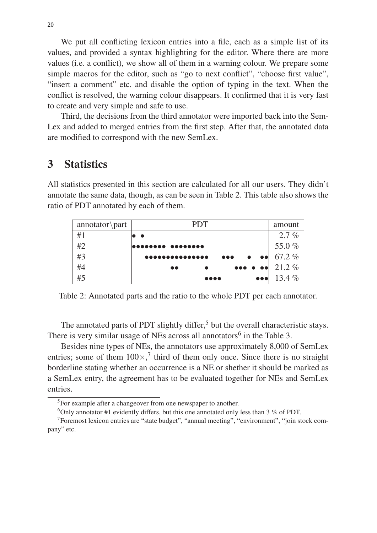We put all conflicting lexicon entries into a file, each as a simple list of its values, and provided a syntax highlighting for the editor. Where there are more values (i.e. a conflict), we show all of them in a warning colour. We prepare some simple macros for the editor, such as "go to next conflict", "choose first value", "insert a comment" etc. and disable the option of typing in the text. When the conflict is resolved, the warning colour disappears. It confirmed that it is very fast to create and very simple and safe to use.

Third, the decisions from the third annotator were imported back into the Sem-Lex and added to merged entries from the first step. After that, the annotated data are modified to correspond with the new SemLex.

## 3 Statistics

All statistics presented in this section are calculated for all our users. They didn't annotate the same data, though, as can be seen in Table 2. This table also shows the ratio of PDT annotated by each of them.

| $\text{annotator}\$ | <b>PDT</b>                                                             | amount    |
|---------------------|------------------------------------------------------------------------|-----------|
| #1                  | $\bullet$                                                              | $2.7\%$   |
| #2                  | <b>00000000 00000000</b>                                               | 55.0%     |
| #3                  | $\bullet \bullet \bullet$<br>$\bullet$<br>$\bullet\bullet$<br>         | $67.2 \%$ |
| #4                  | $\bullet \bullet \bullet \bullet \bullet   21.2\%$<br>$\bullet\bullet$ |           |
| #5                  | $\bullet\bullet\bullet$<br>$\bullet\bullet\bullet\bullet$              | 13.4 $%$  |

Table 2: Annotated parts and the ratio to the whole PDT per each annotator.

The annotated parts of PDT slightly differ,<sup>5</sup> but the overall characteristic stays. There is very similar usage of NEs across all annotators<sup>6</sup> in the Table 3.

Besides nine types of NEs, the annotators use approximately 8,000 of SemLex entries; some of them  $100\times$ ,<sup>7</sup> third of them only once. Since there is no straight borderline stating whether an occurrence is a NE or shether it should be marked as a SemLex entry, the agreement has to be evaluated together for NEs and SemLex entries.

<sup>&</sup>lt;sup>5</sup>For example after a changeover from one newspaper to another.

 $6$ Only annotator #1 evidently differs, but this one annotated only less than 3 % of PDT.

<sup>&</sup>lt;sup>7</sup>Foremost lexicon entries are "state budget", "annual meeting", "environment", "join stock company" etc.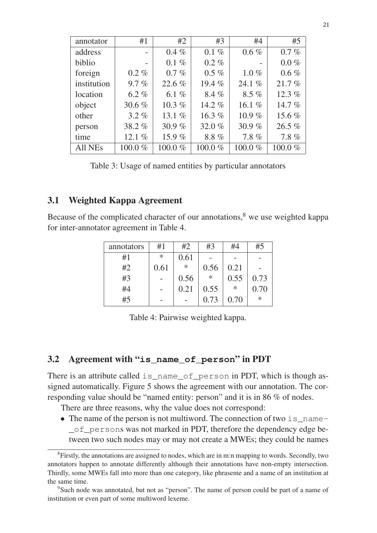| annotator   | #1       | #2       | #3       | #4        | #5         |
|-------------|----------|----------|----------|-----------|------------|
| address     |          | $0.4 \%$ | $0.1 \%$ | $0.6\%$   | $0.7 \%$   |
| biblio      |          | $0.1 \%$ | $0.2 \%$ |           | $0.0 \%$   |
| foreign     | $0.2\%$  | $0.7 \%$ | $0.5 \%$ | $1.0\%$   | $0.6 \%$   |
| institution | 9.7%     | 22.6 %   | 19.4 %   | 24.1 %    | 21.7%      |
| location    | $6.2 \%$ | 6.1 $%$  | 8.4%     | $8.5\%$   | 12.3%      |
| object      | 30.6%    | 10.3%    | 14.2%    | 16.1 $%$  | 14.7 $%$   |
| other       | $3.2\%$  | 13.1 $%$ | 16.3 $%$ | 10.9 $%$  | 15.6 %     |
| person      | 38.2%    | 30.9 $%$ | 32.0%    | 30.9 $%$  | 26.5%      |
| time        | 12.1 %   | 15.9%    | 8.8%     | $7.8 \%$  | 7.8%       |
| All NEs     | 100.0%   | 100.0%   | 100.0%   | 100.0 $%$ | $100.0 \%$ |

Table 3: Usage of named entities by particular annotators

#### 3.1 Weighted Kappa Agreement

Because of the complicated character of our annotations, $8$  we use weighted kappa for inter-annotator agreement in Table 4.

| annotators | #1   | #2   | #3   | #4   | #5     |
|------------|------|------|------|------|--------|
| #1         | ∗    | 0.61 |      |      |        |
| #2         | 0.61 | ∗    | 0.56 | 0.21 |        |
| #3         |      | 0.56 | ∗    | 0.55 | 0.73   |
| #4         |      | 0.21 | 0.55 | ∗    | 0.70   |
| #5         |      |      | 0.73 | 0.70 | $\ast$ |

Table 4: Pairwise weighted kappa.

### 3.2 Agreement with "**is\_name\_of\_person**" in PDT

There is an attribute called is name of person in PDT, which is though assigned automatically. Figure 5 shows the agreement with our annotation. The corresponding value should be "named entity: person" and it is in 86 % of nodes.

There are three reasons, why the value does not correspond:

• The name of the person is not multiword. The connection of two is name-\_of\_persons was not marked in PDT, therefore the dependency edge between two such nodes may or may not create a MWEs; they could be names

<sup>&</sup>lt;sup>8</sup> Firstly, the annotations are assigned to nodes, which are in m:n mapping to words. Secondly, two annotators happen to annotate differently although their annotations have non-empty intersection. Thirdly, some MWEs fall into more than one category, like phraseme and a name of an institution at the same time.

<sup>&</sup>lt;sup>9</sup>Such node was annotated, but not as "person". The name of person could be part of a name of institution or even part of some multiword lexeme.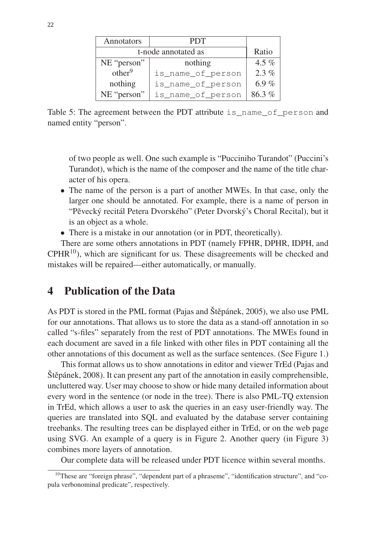| Annotators          | <b>PDT</b>        |          |
|---------------------|-------------------|----------|
| t-node annotated as |                   | Ratio    |
| NE "person"         | nothing           | 4.5 $%$  |
| other <sup>9</sup>  | is_name_of_person | 2.3%     |
| nothing             | is_name_of_person | 6.9%     |
| NE "person"         | is_name_of_person | $86.3\%$ |

Table 5: The agreement between the PDT attribute is\_name\_of\_person and named entity "person".

of two people as well. One such example is "Pucciniho Turandot" (Puccini's Turandot), which is the name of the composer and the name of the title character of his opera.

- The name of the person is a part of another MWEs. In that case, only the larger one should be annotated. For example, there is a name of person in "Pěvecký recitál Petera Dvorského" (Peter Dvorský's Choral Recital), but it is an object as a whole.
- There is a mistake in our annotation (or in PDT, theoretically).

There are some others annotations in PDT (namely FPHR, DPHR, IDPH, and  $CPHR<sup>10</sup>$ , which are significant for us. These disagreements will be checked and mistakes will be repaired—either automatically, or manually.

### 4 Publication of the Data

As PDT is stored in the PML format (Pajas and Štěpánek, 2005), we also use PML for our annotations. That allows us to store the data as a stand-off annotation in so called "s-files" separately from the rest of PDT annotations. The MWEs found in each document are saved in a file linked with other files in PDT containing all the other annotations of this document as well as the surface sentences. (See Figure 1.)

This format allows us to show annotations in editor and viewer TrEd (Pajas and Stěpánek, 2008). It can present any part of the annotation in easily comprehensible, uncluttered way. User may choose to show or hide many detailed information about every word in the sentence (or node in the tree). There is also PML-TQ extension in TrEd, which allows a user to ask the queries in an easy user-friendly way. The queries are translated into SQL and evaluated by the database server containing treebanks. The resulting trees can be displayed either in TrEd, or on the web page using SVG. An example of a query is in Figure 2. Another query (in Figure 3) combines more layers of annotation.

Our complete data will be released under PDT licence within several months.

<sup>&</sup>lt;sup>10</sup>These are "foreign phrase", "dependent part of a phraseme", "identification structure", and "copula verbonominal predicate", respectively.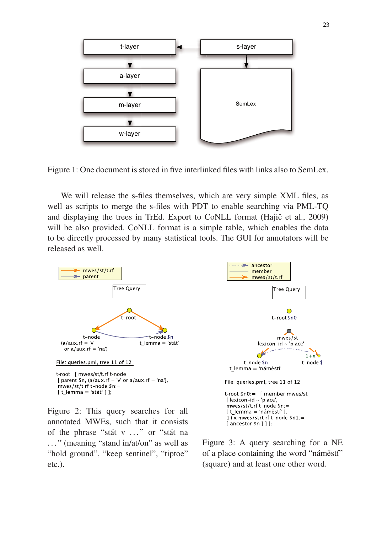

Figure 1: One document is stored in five interlinked files with links also to SemLex.

We will release the s-files themselves, which are very simple XML files, as well as scripts to merge the s-files with PDT to enable searching via PML-TQ and displaying the trees in TrEd. Export to CoNLL format (Hajič et al.,  $2009$ ) will be also provided. CoNLL format is a simple table, which enables the data to be directly processed by many statistical tools. The GUI for annotators will be released as well.



Figure 2: This query searches for all annotated MWEs, such that it consists of the phrase "stát v . . . " or "stát na ..." (meaning "stand in/at/on" as well as "hold ground", "keep sentinel", "tiptoe" etc.).



Figure 3: A query searching for a NE of a place containing the word "náměstí" (square) and at least one other word.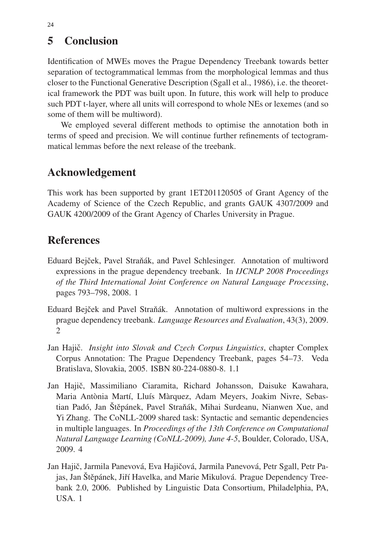# 5 Conclusion

Identification of MWEs moves the Prague Dependency Treebank towards better separation of tectogrammatical lemmas from the morphological lemmas and thus closer to the Functional Generative Description (Sgall et al., 1986), i.e. the theoretical framework the PDT was built upon. In future, this work will help to produce such PDT t-layer, where all units will correspond to whole NEs or lexemes (and so some of them will be multiword).

We employed several different methods to optimise the annotation both in terms of speed and precision. We will continue further refinements of tectogrammatical lemmas before the next release of the treebank.

# Acknowledgement

This work has been supported by grant 1ET201120505 of Grant Agency of the Academy of Science of the Czech Republic, and grants GAUK 4307/2009 and GAUK 4200/2009 of the Grant Agency of Charles University in Prague.

# **References**

- Eduard Bejček, Pavel Straňák, and Pavel Schlesinger. Annotation of multiword expressions in the prague dependency treebank. In *IJCNLP 2008 Proceedings of the Third International Joint Conference on Natural Language Processing*, pages 793–798, 2008. 1
- Eduard Bejček and Pavel Straňák. Annotation of multiword expressions in the prague dependency treebank. *Language Resources and Evaluation*, 43(3), 2009. 2
- Jan Hajič. *Insight into Slovak and Czech Corpus Linguistics*, chapter Complex Corpus Annotation: The Prague Dependency Treebank, pages 54–73. Veda Bratislava, Slovakia, 2005. ISBN 80-224-0880-8. 1.1
- Jan Hajič, Massimiliano Ciaramita, Richard Johansson, Daisuke Kawahara, Maria Antònia Martí, Lluís Màrquez, Adam Meyers, Joakim Nivre, Sebastian Padó, Jan Štěpánek, Pavel Straňák, Mihai Surdeanu, Nianwen Xue, and Yi Zhang. The CoNLL-2009 shared task: Syntactic and semantic dependencies in multiple languages. In *Proceedings of the 13th Conference on Computational Natural Language Learning (CoNLL-2009), June 4-5*, Boulder, Colorado, USA, 2009. 4
- Jan Hajič, Jarmila Panevová, Eva Hajičová, Jarmila Panevová, Petr Sgall, Petr Pajas, Jan Štěpánek, Jiří Havelka, and Marie Mikulová. Prague Dependency Treebank 2.0, 2006. Published by Linguistic Data Consortium, Philadelphia, PA, USA. 1